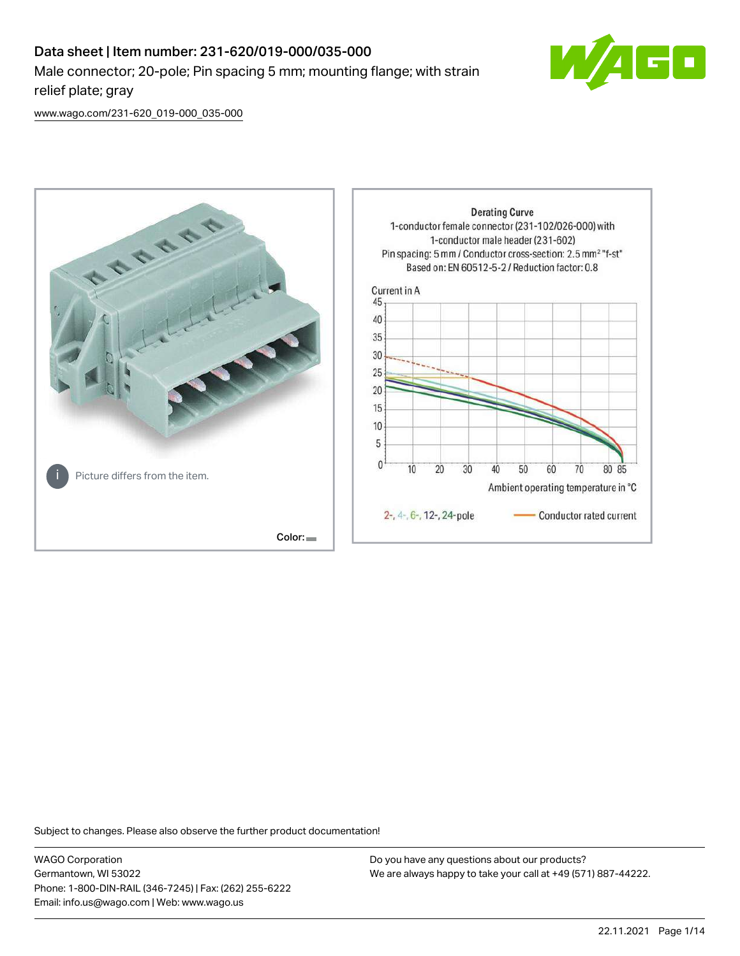# Data sheet | Item number: 231-620/019-000/035-000 Male connector; 20-pole; Pin spacing 5 mm; mounting flange; with strain relief plate; gray



[www.wago.com/231-620\\_019-000\\_035-000](http://www.wago.com/231-620_019-000_035-000)



Subject to changes. Please also observe the further product documentation!

WAGO Corporation Germantown, WI 53022 Phone: 1-800-DIN-RAIL (346-7245) | Fax: (262) 255-6222 Email: info.us@wago.com | Web: www.wago.us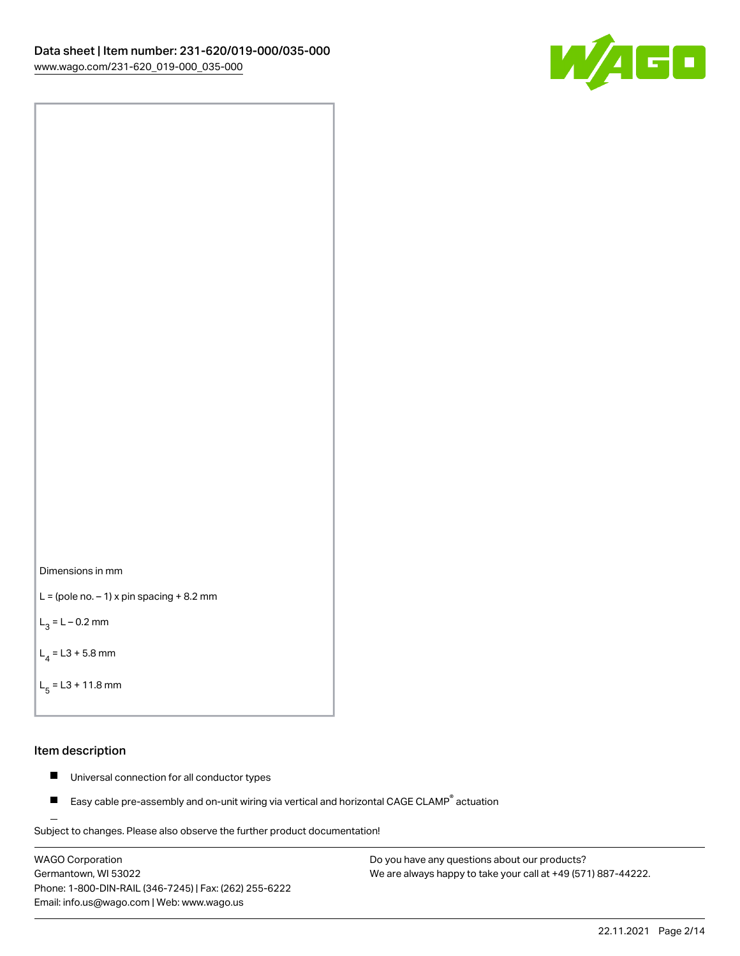



```
L = (pole no. -1) x pin spacing +8.2 mm
```
 $L_3 = L - 0.2$  mm

```
L_4 = L3 + 5.8 mm
```

```
L_{\rm g} = L3 + 11.8 mm
```
#### Item description

- $\blacksquare$ Universal connection for all conductor types
- Easy cable pre-assembly and on-unit wiring via vertical and horizontal CAGE CLAMP<sup>®</sup> actuation  $\blacksquare$

Subject to changes. Please also observe the further product documentation! For wire-to-wire and board-to-wire connections

WAGO Corporation Germantown, WI 53022 Phone: 1-800-DIN-RAIL (346-7245) | Fax: (262) 255-6222 Email: info.us@wago.com | Web: www.wago.us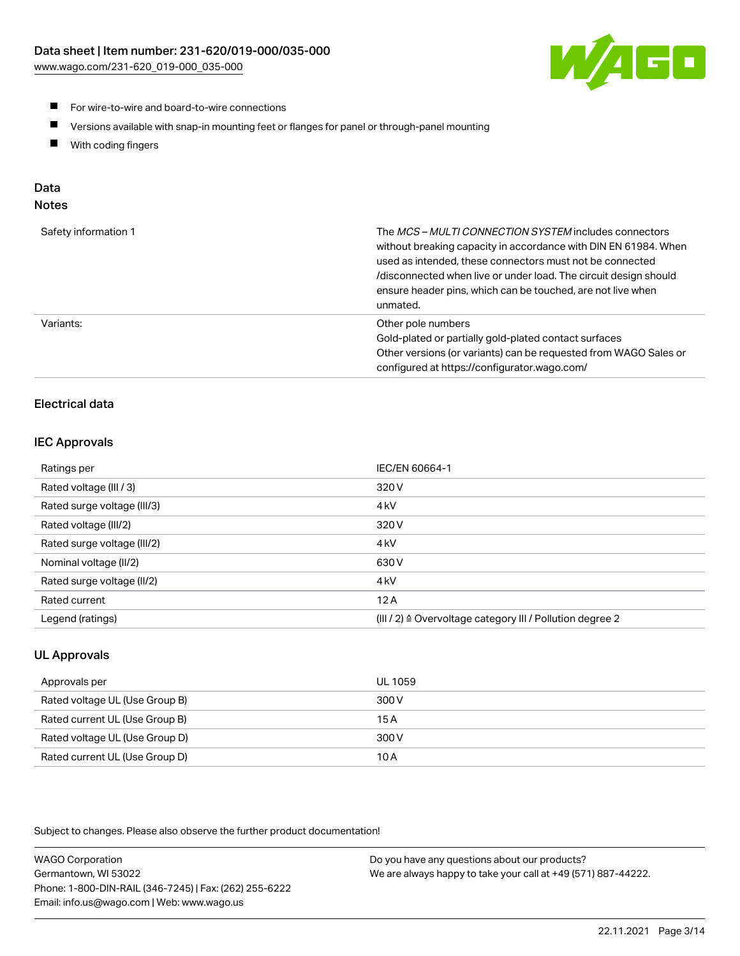[www.wago.com/231-620\\_019-000\\_035-000](http://www.wago.com/231-620_019-000_035-000)



- **For wire-to-wire and board-to-wire connections**
- $\blacksquare$ Versions available with snap-in mounting feet or flanges for panel or through-panel mounting
- $\blacksquare$ With coding fingers

# Data

| Safety information 1 | The MCS-MULTI CONNECTION SYSTEM includes connectors<br>without breaking capacity in accordance with DIN EN 61984. When<br>used as intended, these connectors must not be connected<br>/disconnected when live or under load. The circuit design should<br>ensure header pins, which can be touched, are not live when<br>unmated. |
|----------------------|-----------------------------------------------------------------------------------------------------------------------------------------------------------------------------------------------------------------------------------------------------------------------------------------------------------------------------------|
| Variants:            | Other pole numbers<br>Gold-plated or partially gold-plated contact surfaces<br>Other versions (or variants) can be requested from WAGO Sales or<br>configured at https://configurator.wago.com/                                                                                                                                   |

# Electrical data

# IEC Approvals

| Ratings per                 | IEC/EN 60664-1                                                        |
|-----------------------------|-----------------------------------------------------------------------|
| Rated voltage (III / 3)     | 320 V                                                                 |
| Rated surge voltage (III/3) | 4 <sub>k</sub> V                                                      |
| Rated voltage (III/2)       | 320 V                                                                 |
| Rated surge voltage (III/2) | 4 <sub>k</sub> V                                                      |
| Nominal voltage (II/2)      | 630 V                                                                 |
| Rated surge voltage (II/2)  | 4 <sub>k</sub> V                                                      |
| Rated current               | 12A                                                                   |
| Legend (ratings)            | $(III / 2)$ $\triangle$ Overvoltage category III / Pollution degree 2 |

# UL Approvals

| Approvals per                  | UL 1059 |
|--------------------------------|---------|
| Rated voltage UL (Use Group B) | 300 V   |
| Rated current UL (Use Group B) | 15 A    |
| Rated voltage UL (Use Group D) | 300 V   |
| Rated current UL (Use Group D) | 10 A    |

Subject to changes. Please also observe the further product documentation!

| <b>WAGO Corporation</b>                                | Do you have any questions about our products?                 |
|--------------------------------------------------------|---------------------------------------------------------------|
| Germantown, WI 53022                                   | We are always happy to take your call at +49 (571) 887-44222. |
| Phone: 1-800-DIN-RAIL (346-7245)   Fax: (262) 255-6222 |                                                               |
| Email: info.us@wago.com   Web: www.wago.us             |                                                               |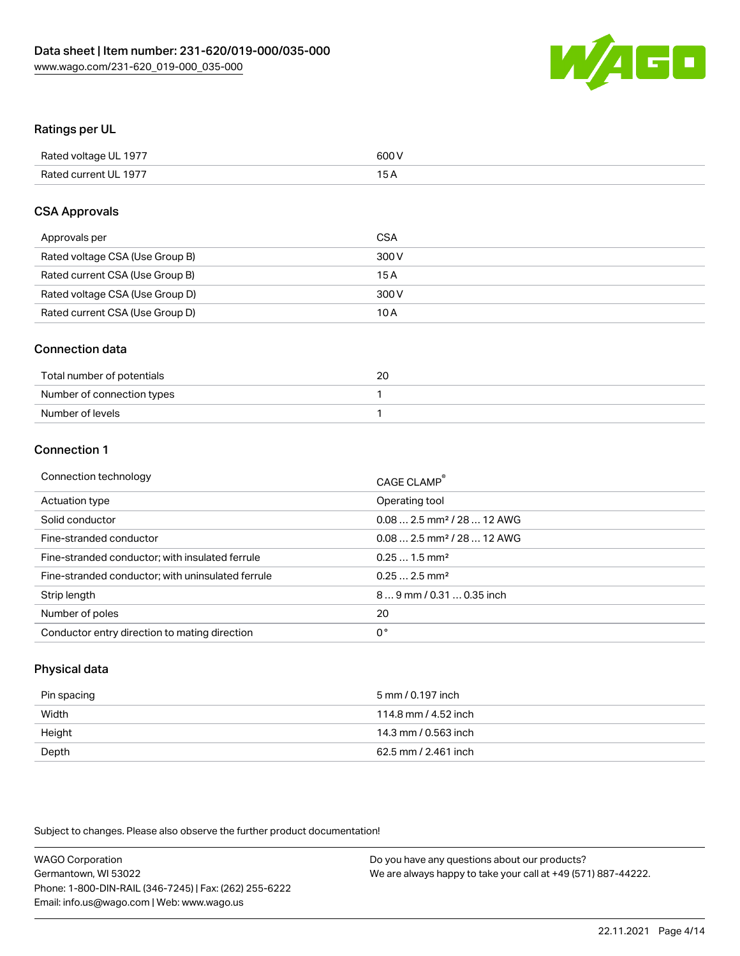

# Ratings per UL

| Rated voltage UL 1977 | 600 V           |
|-----------------------|-----------------|
| Rated current UL 1977 | 15 <sub>A</sub> |

## CSA Approvals

| Approvals per                   | <b>CSA</b> |
|---------------------------------|------------|
| Rated voltage CSA (Use Group B) | 300 V      |
| Rated current CSA (Use Group B) | 15 A       |
| Rated voltage CSA (Use Group D) | 300 V      |
| Rated current CSA (Use Group D) | 10 A       |

#### Connection data

| Total number of potentials | 20 |
|----------------------------|----|
| Number of connection types |    |
| Number of levels           |    |

### Connection 1

| Operating tool<br>Actuation type<br>$0.082.5$ mm <sup>2</sup> / 28  12 AWG<br>Solid conductor<br>Fine-stranded conductor<br>$0.082.5$ mm <sup>2</sup> / 28  12 AWG<br>$0.251.5$ mm <sup>2</sup><br>Fine-stranded conductor; with insulated ferrule<br>$0.252.5$ mm <sup>2</sup><br>Fine-stranded conductor; with uninsulated ferrule<br>$89$ mm $/ 0.310.35$ inch<br>Strip length<br>20<br>Number of poles<br>0°<br>Conductor entry direction to mating direction | Connection technology | CAGE CLAMP <sup>®</sup> |
|-------------------------------------------------------------------------------------------------------------------------------------------------------------------------------------------------------------------------------------------------------------------------------------------------------------------------------------------------------------------------------------------------------------------------------------------------------------------|-----------------------|-------------------------|
|                                                                                                                                                                                                                                                                                                                                                                                                                                                                   |                       |                         |
|                                                                                                                                                                                                                                                                                                                                                                                                                                                                   |                       |                         |
|                                                                                                                                                                                                                                                                                                                                                                                                                                                                   |                       |                         |
|                                                                                                                                                                                                                                                                                                                                                                                                                                                                   |                       |                         |
|                                                                                                                                                                                                                                                                                                                                                                                                                                                                   |                       |                         |
|                                                                                                                                                                                                                                                                                                                                                                                                                                                                   |                       |                         |
|                                                                                                                                                                                                                                                                                                                                                                                                                                                                   |                       |                         |
|                                                                                                                                                                                                                                                                                                                                                                                                                                                                   |                       |                         |

## Physical data

| Pin spacing | 5 mm / 0.197 inch    |
|-------------|----------------------|
| Width       | 114.8 mm / 4.52 inch |
| Height      | 14.3 mm / 0.563 inch |
| Depth       | 62.5 mm / 2.461 inch |

Subject to changes. Please also observe the further product documentation!

| <b>WAGO Corporation</b>                                | Do you have any questions about our products?                 |
|--------------------------------------------------------|---------------------------------------------------------------|
| Germantown, WI 53022                                   | We are always happy to take your call at +49 (571) 887-44222. |
| Phone: 1-800-DIN-RAIL (346-7245)   Fax: (262) 255-6222 |                                                               |
| Email: info.us@wago.com   Web: www.wago.us             |                                                               |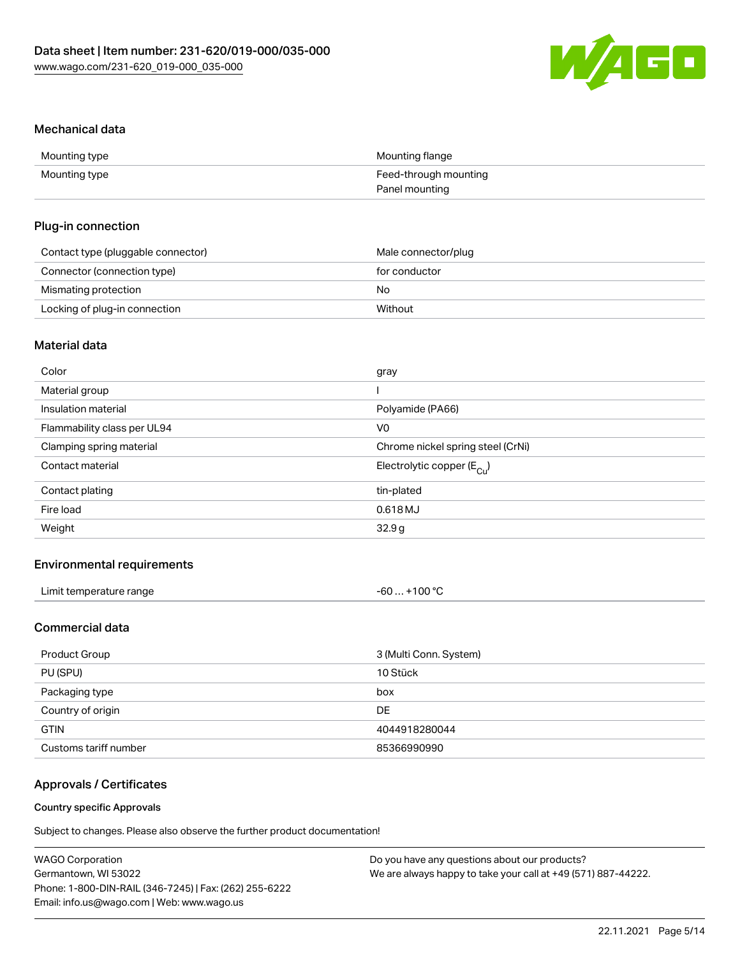

#### Mechanical data

| Mounting type | Mounting flange       |
|---------------|-----------------------|
| Mounting type | Feed-through mounting |
|               | Panel mounting        |

#### Plug-in connection

| Contact type (pluggable connector) | Male connector/plug |
|------------------------------------|---------------------|
| Connector (connection type)        | for conductor       |
| Mismating protection               | No                  |
| Locking of plug-in connection      | Without             |

# Material data

| Color                       | gray                                  |
|-----------------------------|---------------------------------------|
| Material group              |                                       |
| Insulation material         | Polyamide (PA66)                      |
| Flammability class per UL94 | V0                                    |
| Clamping spring material    | Chrome nickel spring steel (CrNi)     |
| Contact material            | Electrolytic copper $(E_{\text{Cl}})$ |
| Contact plating             | tin-plated                            |
| Fire load                   | 0.618 MJ                              |
| Weight                      | 32.9g                                 |
|                             |                                       |

# Environmental requirements

| Limit temperature range | $-60+100 °C$ |
|-------------------------|--------------|
|-------------------------|--------------|

# Commercial data

| Product Group         | 3 (Multi Conn. System) |
|-----------------------|------------------------|
| PU (SPU)              | 10 Stück               |
| Packaging type        | box                    |
| Country of origin     | DE                     |
| <b>GTIN</b>           | 4044918280044          |
| Customs tariff number | 85366990990            |

# Approvals / Certificates

#### Country specific Approvals

Subject to changes. Please also observe the further product documentation!

| <b>WAGO Corporation</b>                                | Do you have any questions about our products?                 |
|--------------------------------------------------------|---------------------------------------------------------------|
| Germantown, WI 53022                                   | We are always happy to take your call at +49 (571) 887-44222. |
| Phone: 1-800-DIN-RAIL (346-7245)   Fax: (262) 255-6222 |                                                               |
| Email: info.us@wago.com   Web: www.wago.us             |                                                               |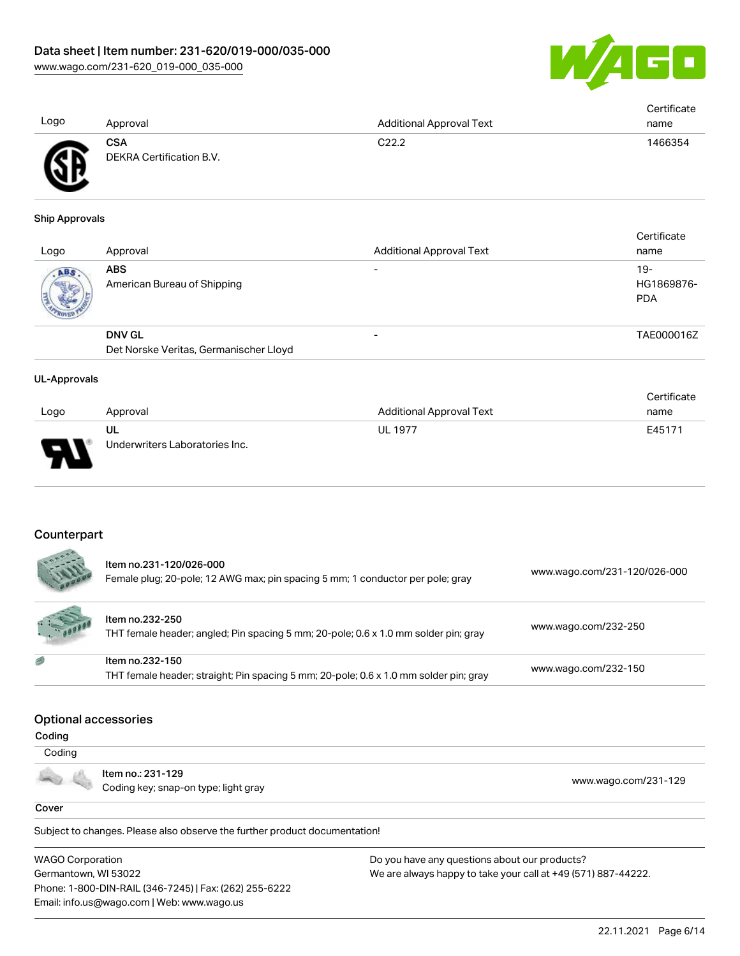

|      |                          |                                 | Certificate |
|------|--------------------------|---------------------------------|-------------|
| Logo | Approval                 | <b>Additional Approval Text</b> | name        |
|      | <b>CSA</b>               | C22.2                           | 1466354     |
| ЛR   | DEKRA Certification B.V. |                                 |             |
|      |                          |                                 |             |

#### Ship Approvals

ЧĽ

| Logo | Approval                                                | <b>Additional Approval Text</b> | Certificate<br>name               |
|------|---------------------------------------------------------|---------------------------------|-----------------------------------|
| ABS  | <b>ABS</b><br>American Bureau of Shipping               | $\overline{\phantom{0}}$        | $19-$<br>HG1869876-<br><b>PDA</b> |
|      | <b>DNV GL</b><br>Det Norske Veritas, Germanischer Lloyd | $\overline{\phantom{0}}$        | TAE000016Z                        |

#### UL-Approvals

|      |                                |                          | Certificate |
|------|--------------------------------|--------------------------|-------------|
| Logo | Approval                       | Additional Approval Text | name        |
|      | UL                             | <b>UL 1977</b>           | E45171      |
| J    | Underwriters Laboratories Inc. |                          |             |

### Counterpart

| Item no.231-120/026-000<br>Female plug; 20-pole; 12 AWG max; pin spacing 5 mm; 1 conductor per pole; gray | www.wago.com/231-120/026-000 |
|-----------------------------------------------------------------------------------------------------------|------------------------------|
| Item no.232-250<br>THT female header; angled; Pin spacing 5 mm; 20-pole; 0.6 x 1.0 mm solder pin; gray    | www.wago.com/232-250         |
| Item no.232-150<br>THT female header; straight; Pin spacing 5 mm; 20-pole; 0.6 x 1.0 mm solder pin; gray  | www.wago.com/232-150         |

#### Optional accessories

 Coding Item no.: 231-129  $\sim$ 

Coding key; snap-on type; light gray [www.wago.com/231-129](http://www.wago.com/231-129)

#### **Cover**

Subject to changes. Please also observe the further product documentation!

WAGO Corporation Germantown, WI 53022 Phone: 1-800-DIN-RAIL (346-7245) | Fax: (262) 255-6222 Email: info.us@wago.com | Web: www.wago.us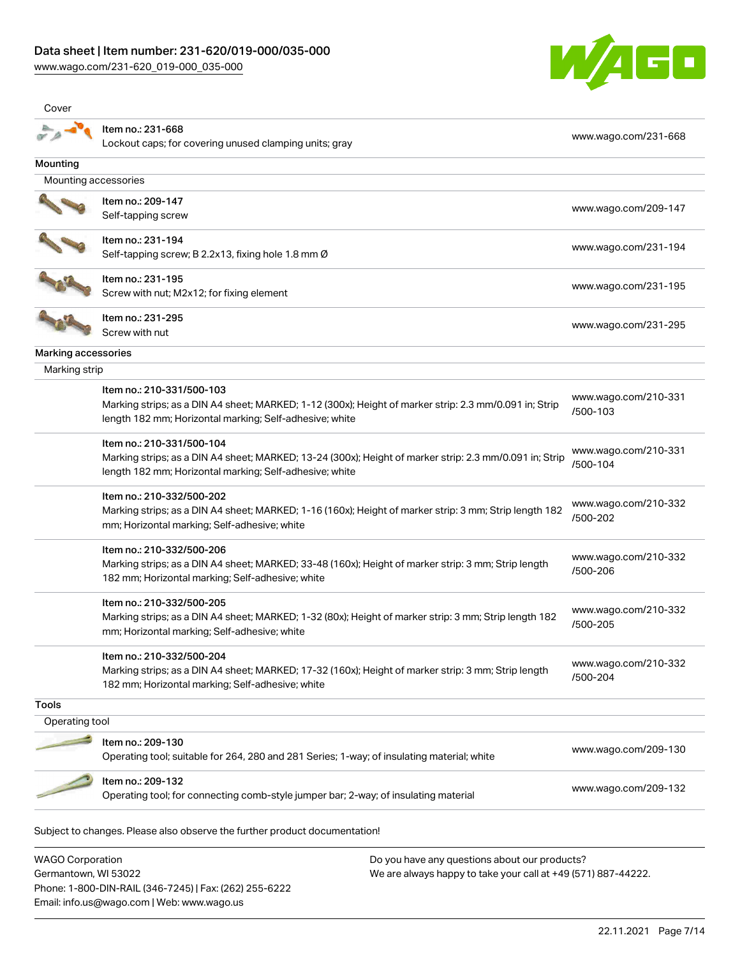[www.wago.com/231-620\\_019-000\\_035-000](http://www.wago.com/231-620_019-000_035-000)

Germantown, WI 53022

Phone: 1-800-DIN-RAIL (346-7245) | Fax: (262) 255-6222

Email: info.us@wago.com | Web: www.wago.us



| Cover                   |                                                                                                         |                                  |
|-------------------------|---------------------------------------------------------------------------------------------------------|----------------------------------|
|                         | Item no.: 231-668                                                                                       | www.wago.com/231-668             |
|                         | Lockout caps; for covering unused clamping units; gray                                                  |                                  |
| Mounting                |                                                                                                         |                                  |
| Mounting accessories    |                                                                                                         |                                  |
|                         | Item no.: 209-147                                                                                       | www.wago.com/209-147             |
|                         | Self-tapping screw                                                                                      |                                  |
|                         | Item no.: 231-194                                                                                       | www.wago.com/231-194             |
|                         | Self-tapping screw; B 2.2x13, fixing hole 1.8 mm Ø                                                      |                                  |
|                         | Item no.: 231-195                                                                                       |                                  |
|                         | Screw with nut; M2x12; for fixing element                                                               | www.wago.com/231-195             |
|                         | Item no.: 231-295                                                                                       |                                  |
|                         | Screw with nut                                                                                          | www.wago.com/231-295             |
| Marking accessories     |                                                                                                         |                                  |
| Marking strip           |                                                                                                         |                                  |
|                         | Item no.: 210-331/500-103                                                                               |                                  |
|                         | Marking strips; as a DIN A4 sheet; MARKED; 1-12 (300x); Height of marker strip: 2.3 mm/0.091 in; Strip  | www.wago.com/210-331<br>/500-103 |
|                         | length 182 mm; Horizontal marking; Self-adhesive; white                                                 |                                  |
|                         | Item no.: 210-331/500-104                                                                               |                                  |
|                         | Marking strips; as a DIN A4 sheet; MARKED; 13-24 (300x); Height of marker strip: 2.3 mm/0.091 in; Strip | www.wago.com/210-331<br>/500-104 |
|                         | length 182 mm; Horizontal marking; Self-adhesive; white                                                 |                                  |
|                         | Item no.: 210-332/500-202                                                                               |                                  |
|                         | Marking strips; as a DIN A4 sheet; MARKED; 1-16 (160x); Height of marker strip: 3 mm; Strip length 182  | www.wago.com/210-332<br>/500-202 |
|                         | mm; Horizontal marking; Self-adhesive; white                                                            |                                  |
|                         | Item no.: 210-332/500-206                                                                               |                                  |
|                         | Marking strips; as a DIN A4 sheet; MARKED; 33-48 (160x); Height of marker strip: 3 mm; Strip length     | www.wago.com/210-332<br>/500-206 |
|                         | 182 mm; Horizontal marking; Self-adhesive; white                                                        |                                  |
|                         | Item no.: 210-332/500-205                                                                               |                                  |
|                         | Marking strips; as a DIN A4 sheet; MARKED; 1-32 (80x); Height of marker strip: 3 mm; Strip length 182   | www.wago.com/210-332             |
|                         | mm; Horizontal marking; Self-adhesive; white                                                            | /500-205                         |
|                         | Item no.: 210-332/500-204                                                                               |                                  |
|                         | Marking strips; as a DIN A4 sheet; MARKED; 17-32 (160x); Height of marker strip: 3 mm; Strip length     | www.wago.com/210-332<br>/500-204 |
|                         | 182 mm; Horizontal marking; Self-adhesive; white                                                        |                                  |
| <b>Tools</b>            |                                                                                                         |                                  |
| Operating tool          |                                                                                                         |                                  |
|                         | Item no.: 209-130                                                                                       |                                  |
|                         | Operating tool; suitable for 264, 280 and 281 Series; 1-way; of insulating material; white              | www.wago.com/209-130             |
|                         | Item no.: 209-132                                                                                       |                                  |
|                         | Operating tool; for connecting comb-style jumper bar; 2-way; of insulating material                     | www.wago.com/209-132             |
|                         | Subject to changes. Please also observe the further product documentation!                              |                                  |
| <b>WAGO Corporation</b> | Do you have any questions about our products?                                                           |                                  |

We are always happy to take your call at +49 (571) 887-44222.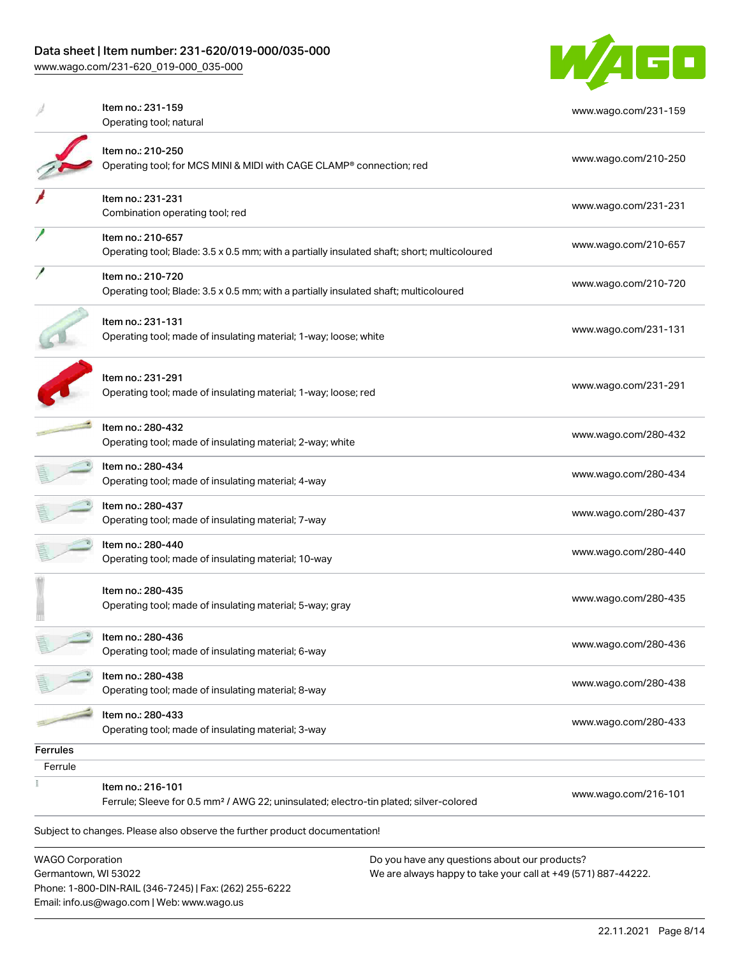# Data sheet | Item number: 231-620/019-000/035-000

[www.wago.com/231-620\\_019-000\\_035-000](http://www.wago.com/231-620_019-000_035-000)



| <b>WAGO Corporation</b>    |                                                                                                                  | Do you have any questions about our products? |
|----------------------------|------------------------------------------------------------------------------------------------------------------|-----------------------------------------------|
|                            | Subject to changes. Please also observe the further product documentation!                                       |                                               |
|                            | Ferrule; Sleeve for 0.5 mm <sup>2</sup> / AWG 22; uninsulated; electro-tin plated; silver-colored                | www.wago.com/216-101                          |
|                            | Item no.: 216-101                                                                                                |                                               |
| <b>Ferrules</b><br>Ferrule |                                                                                                                  |                                               |
|                            | Item no.: 280-433<br>Operating tool; made of insulating material; 3-way                                          | www.wago.com/280-433                          |
|                            | Item no.: 280-438<br>Operating tool; made of insulating material; 8-way                                          | www.wago.com/280-438                          |
|                            | Item no.: 280-436<br>Operating tool; made of insulating material; 6-way                                          | www.wago.com/280-436                          |
|                            | Item no.: 280-435<br>Operating tool; made of insulating material; 5-way; gray                                    | www.wago.com/280-435                          |
|                            | Item no.: 280-440<br>Operating tool; made of insulating material; 10-way                                         | www.wago.com/280-440                          |
|                            | Item no.: 280-437<br>Operating tool; made of insulating material; 7-way                                          | www.wago.com/280-437                          |
|                            | Item no.: 280-434<br>Operating tool; made of insulating material; 4-way                                          | www.wago.com/280-434                          |
|                            | Item no.: 280-432<br>Operating tool; made of insulating material; 2-way; white                                   | www.wago.com/280-432                          |
|                            | Item no.: 231-291<br>Operating tool; made of insulating material; 1-way; loose; red                              | www.wago.com/231-291                          |
|                            | Item no.: 231-131<br>Operating tool; made of insulating material; 1-way; loose; white                            | www.wago.com/231-131                          |
|                            | Item no.: 210-720<br>Operating tool; Blade: 3.5 x 0.5 mm; with a partially insulated shaft; multicoloured        | www.wago.com/210-720                          |
|                            | Item no.: 210-657<br>Operating tool; Blade: 3.5 x 0.5 mm; with a partially insulated shaft; short; multicoloured | www.wago.com/210-657                          |
|                            | Item no.: 231-231<br>Combination operating tool; red                                                             | www.wago.com/231-231                          |
|                            | Item no.: 210-250<br>Operating tool; for MCS MINI & MIDI with CAGE CLAMP® connection; red                        | www.wago.com/210-250                          |
|                            | Item no.: 231-159<br>Operating tool; natural                                                                     | www.wago.com/231-159                          |

Germantown, WI 53022 Phone: 1-800-DIN-RAIL (346-7245) | Fax: (262) 255-6222 Email: info.us@wago.com | Web: www.wago.us

ny questions about o We are always happy to take your call at +49 (571) 887-44222.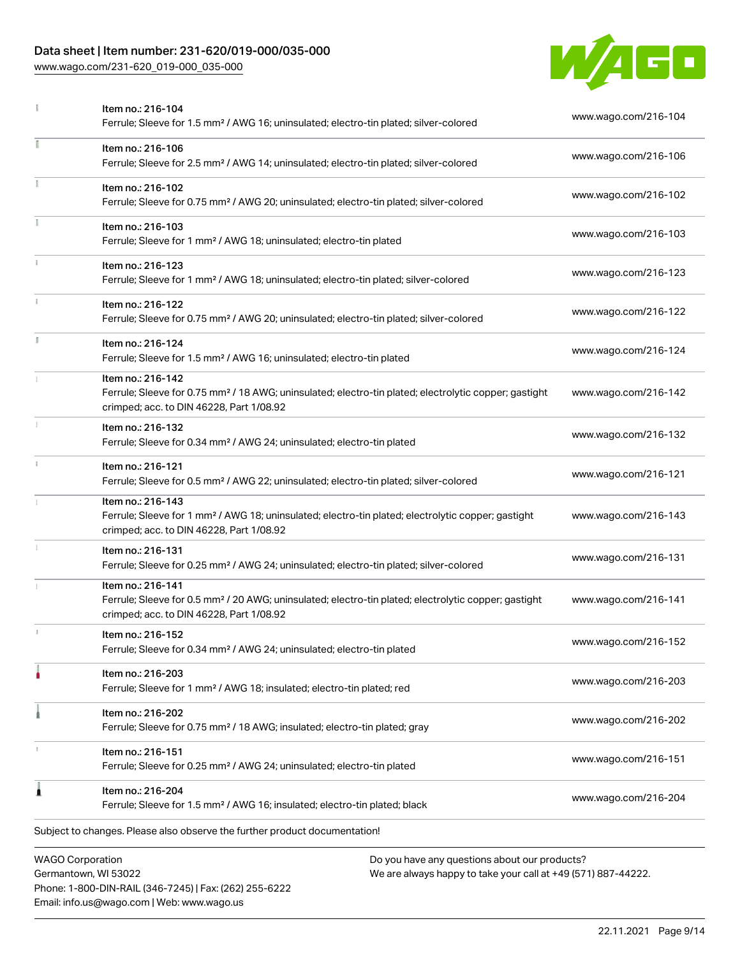# Data sheet | Item number: 231-620/019-000/035-000

Phone: 1-800-DIN-RAIL (346-7245) | Fax: (262) 255-6222

Email: info.us@wago.com | Web: www.wago.us

[www.wago.com/231-620\\_019-000\\_035-000](http://www.wago.com/231-620_019-000_035-000)



|    | Item no.: 216-104<br>Ferrule; Sleeve for 1.5 mm <sup>2</sup> / AWG 16; uninsulated; electro-tin plated; silver-colored                                                             |                                                                                                                | www.wago.com/216-104 |  |
|----|------------------------------------------------------------------------------------------------------------------------------------------------------------------------------------|----------------------------------------------------------------------------------------------------------------|----------------------|--|
| ī  | Item no.: 216-106<br>Ferrule; Sleeve for 2.5 mm <sup>2</sup> / AWG 14; uninsulated; electro-tin plated; silver-colored                                                             |                                                                                                                | www.wago.com/216-106 |  |
| Ť. | Item no.: 216-102<br>Ferrule; Sleeve for 0.75 mm <sup>2</sup> / AWG 20; uninsulated; electro-tin plated; silver-colored                                                            |                                                                                                                | www.wago.com/216-102 |  |
|    | Item no.: 216-103<br>Ferrule; Sleeve for 1 mm <sup>2</sup> / AWG 18; uninsulated; electro-tin plated                                                                               |                                                                                                                | www.wago.com/216-103 |  |
|    | Item no.: 216-123<br>Ferrule; Sleeve for 1 mm <sup>2</sup> / AWG 18; uninsulated; electro-tin plated; silver-colored                                                               |                                                                                                                | www.wago.com/216-123 |  |
|    | Item no.: 216-122<br>Ferrule; Sleeve for 0.75 mm <sup>2</sup> / AWG 20; uninsulated; electro-tin plated; silver-colored                                                            |                                                                                                                | www.wago.com/216-122 |  |
|    | Item no.: 216-124<br>Ferrule; Sleeve for 1.5 mm <sup>2</sup> / AWG 16; uninsulated; electro-tin plated                                                                             |                                                                                                                | www.wago.com/216-124 |  |
|    | Item no.: 216-142<br>Ferrule; Sleeve for 0.75 mm <sup>2</sup> / 18 AWG; uninsulated; electro-tin plated; electrolytic copper; gastight<br>crimped; acc. to DIN 46228, Part 1/08.92 |                                                                                                                | www.wago.com/216-142 |  |
|    | Item no.: 216-132<br>Ferrule; Sleeve for 0.34 mm <sup>2</sup> / AWG 24; uninsulated; electro-tin plated                                                                            |                                                                                                                | www.wago.com/216-132 |  |
|    | Item no.: 216-121<br>Ferrule; Sleeve for 0.5 mm <sup>2</sup> / AWG 22; uninsulated; electro-tin plated; silver-colored                                                             |                                                                                                                | www.wago.com/216-121 |  |
|    | Item no.: 216-143<br>Ferrule; Sleeve for 1 mm <sup>2</sup> / AWG 18; uninsulated; electro-tin plated; electrolytic copper; gastight<br>crimped; acc. to DIN 46228, Part 1/08.92    |                                                                                                                | www.wago.com/216-143 |  |
|    | Item no.: 216-131<br>Ferrule; Sleeve for 0.25 mm <sup>2</sup> / AWG 24; uninsulated; electro-tin plated; silver-colored                                                            |                                                                                                                | www.wago.com/216-131 |  |
|    | Item no.: 216-141<br>Ferrule; Sleeve for 0.5 mm <sup>2</sup> / 20 AWG; uninsulated; electro-tin plated; electrolytic copper; gastight<br>crimped; acc. to DIN 46228, Part 1/08.92  |                                                                                                                | www.wago.com/216-141 |  |
|    | Item no.: 216-152<br>Ferrule; Sleeve for 0.34 mm <sup>2</sup> / AWG 24; uninsulated; electro-tin plated                                                                            |                                                                                                                | www.wago.com/216-152 |  |
| ٥  | Item no.: 216-203<br>Ferrule; Sleeve for 1 mm <sup>2</sup> / AWG 18; insulated; electro-tin plated; red                                                                            |                                                                                                                | www.wago.com/216-203 |  |
|    | Item no.: 216-202<br>Ferrule; Sleeve for 0.75 mm <sup>2</sup> / 18 AWG; insulated; electro-tin plated; gray                                                                        |                                                                                                                | www.wago.com/216-202 |  |
| т  | Item no.: 216-151<br>Ferrule; Sleeve for 0.25 mm <sup>2</sup> / AWG 24; uninsulated; electro-tin plated                                                                            |                                                                                                                | www.wago.com/216-151 |  |
| 1  | Item no.: 216-204<br>Ferrule; Sleeve for 1.5 mm <sup>2</sup> / AWG 16; insulated; electro-tin plated; black                                                                        |                                                                                                                | www.wago.com/216-204 |  |
|    | Subject to changes. Please also observe the further product documentation!                                                                                                         |                                                                                                                |                      |  |
|    | <b>WAGO Corporation</b><br>Germantown, WI 53022                                                                                                                                    | Do you have any questions about our products?<br>We are always happy to take your call at +49 (571) 887-44222. |                      |  |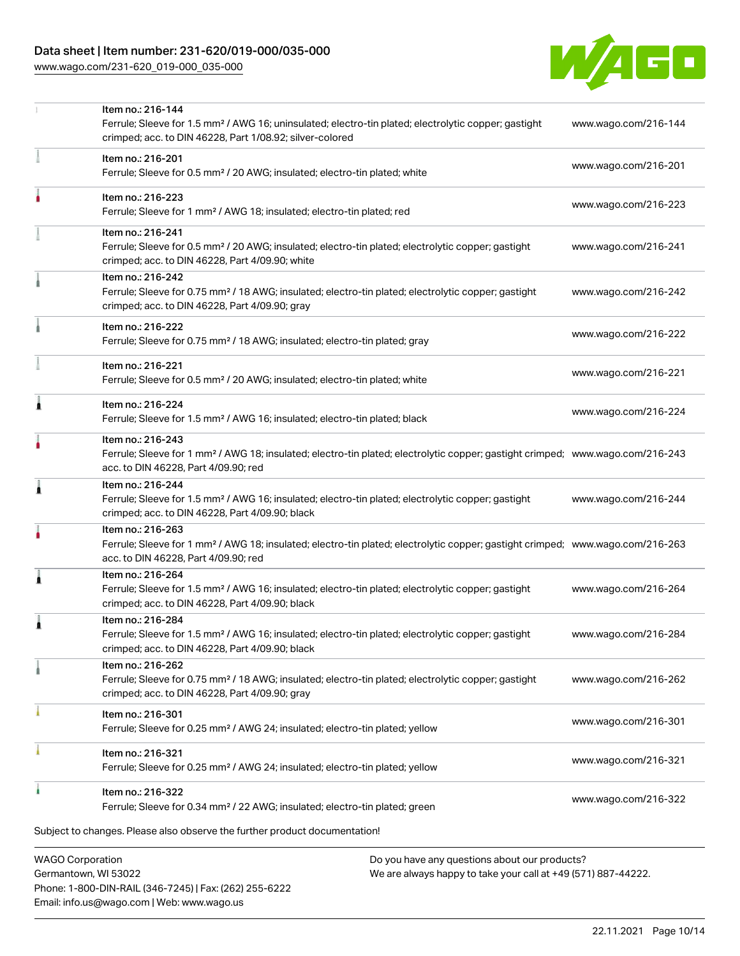# Data sheet | Item number: 231-620/019-000/035-000

[www.wago.com/231-620\\_019-000\\_035-000](http://www.wago.com/231-620_019-000_035-000)



| <b>WAGO Corporation</b> | Do you have any questions about our products?                                                                                                                                                                                                                                                                                                                                                                                                                                                                                                                                                                                                                                                                                                                                                                                                                                                                                                                                                                                                                                                                                                                                                                                                                                                                                                                                                                                                                                                                                                                                                                                                                                                                                                                                                                                                                                                                                                                                                                                                                                                                                                                                                                                                                                                                                                                                                                                                                                                                                                                                                                                                                                                                                                                                                                                                                                                                                                                                                                                                                                                                                                 |  |
|-------------------------|-----------------------------------------------------------------------------------------------------------------------------------------------------------------------------------------------------------------------------------------------------------------------------------------------------------------------------------------------------------------------------------------------------------------------------------------------------------------------------------------------------------------------------------------------------------------------------------------------------------------------------------------------------------------------------------------------------------------------------------------------------------------------------------------------------------------------------------------------------------------------------------------------------------------------------------------------------------------------------------------------------------------------------------------------------------------------------------------------------------------------------------------------------------------------------------------------------------------------------------------------------------------------------------------------------------------------------------------------------------------------------------------------------------------------------------------------------------------------------------------------------------------------------------------------------------------------------------------------------------------------------------------------------------------------------------------------------------------------------------------------------------------------------------------------------------------------------------------------------------------------------------------------------------------------------------------------------------------------------------------------------------------------------------------------------------------------------------------------------------------------------------------------------------------------------------------------------------------------------------------------------------------------------------------------------------------------------------------------------------------------------------------------------------------------------------------------------------------------------------------------------------------------------------------------------------------------------------------------------------------------------------------------------------------------------------------------------------------------------------------------------------------------------------------------------------------------------------------------------------------------------------------------------------------------------------------------------------------------------------------------------------------------------------------------------------------------------------------------------------------------------------------------|--|
|                         | Ferrule; Sleeve for 1.5 mm <sup>2</sup> / AWG 16; uninsulated; electro-tin plated; electrolytic copper; gastight<br>www.wago.com/216-144<br>crimped; acc. to DIN 46228, Part 1/08.92; silver-colored<br>Item no.: 216-201<br>www.wago.com/216-201<br>Ferrule; Sleeve for 0.5 mm <sup>2</sup> / 20 AWG; insulated; electro-tin plated; white<br>Item no.: 216-223<br>www.wago.com/216-223<br>Ferrule; Sleeve for 1 mm <sup>2</sup> / AWG 18; insulated; electro-tin plated; red<br>Item no.: 216-241<br>Ferrule; Sleeve for 0.5 mm <sup>2</sup> / 20 AWG; insulated; electro-tin plated; electrolytic copper; gastight<br>www.wago.com/216-241<br>crimped; acc. to DIN 46228, Part 4/09.90; white<br>Item no.: 216-242<br>Ferrule; Sleeve for 0.75 mm <sup>2</sup> / 18 AWG; insulated; electro-tin plated; electrolytic copper; gastight<br>www.wago.com/216-242<br>crimped; acc. to DIN 46228, Part 4/09.90; gray<br>Item no.: 216-222<br>www.wago.com/216-222<br>Ferrule; Sleeve for 0.75 mm <sup>2</sup> / 18 AWG; insulated; electro-tin plated; gray<br>Item no.: 216-221<br>www.wago.com/216-221<br>Ferrule; Sleeve for 0.5 mm <sup>2</sup> / 20 AWG; insulated; electro-tin plated; white<br>Item no.: 216-224<br>www.wago.com/216-224<br>Ferrule; Sleeve for 1.5 mm <sup>2</sup> / AWG 16; insulated; electro-tin plated; black<br>Item no.: 216-243<br>Ferrule; Sleeve for 1 mm <sup>2</sup> / AWG 18; insulated; electro-tin plated; electrolytic copper; gastight crimped; www.wago.com/216-243<br>acc. to DIN 46228, Part 4/09.90; red<br>Item no.: 216-244<br>Ferrule; Sleeve for 1.5 mm <sup>2</sup> / AWG 16; insulated; electro-tin plated; electrolytic copper; gastight<br>www.wago.com/216-244<br>crimped; acc. to DIN 46228, Part 4/09.90; black<br>Item no.: 216-263<br>Ferrule; Sleeve for 1 mm <sup>2</sup> / AWG 18; insulated; electro-tin plated; electrolytic copper; gastight crimped; www.wago.com/216-263<br>acc. to DIN 46228, Part 4/09.90; red<br>Item no.: 216-264<br>Ferrule; Sleeve for 1.5 mm <sup>2</sup> / AWG 16; insulated; electro-tin plated; electrolytic copper; gastight<br>www.wago.com/216-264<br>crimped; acc. to DIN 46228, Part 4/09.90; black<br>Item no.: 216-284<br>Ferrule; Sleeve for 1.5 mm <sup>2</sup> / AWG 16; insulated; electro-tin plated; electrolytic copper; gastight<br>www.wago.com/216-284<br>crimped; acc. to DIN 46228, Part 4/09.90; black<br>Item no.: 216-262<br>Ferrule; Sleeve for 0.75 mm <sup>2</sup> / 18 AWG; insulated; electro-tin plated; electrolytic copper; gastight<br>www.wago.com/216-262<br>crimped; acc. to DIN 46228, Part 4/09.90; gray<br>Item no.: 216-301<br>www.wago.com/216-301<br>Ferrule; Sleeve for 0.25 mm <sup>2</sup> / AWG 24; insulated; electro-tin plated; yellow<br>Item no.: 216-321<br>www.wago.com/216-321<br>Ferrule; Sleeve for 0.25 mm <sup>2</sup> / AWG 24; insulated; electro-tin plated; yellow<br>Item no.: 216-322<br>www.wago.com/216-322<br>Ferrule; Sleeve for 0.34 mm <sup>2</sup> / 22 AWG; insulated; electro-tin plated; green<br>Subject to changes. Please also observe the further product documentation! |  |
| ٠                       |                                                                                                                                                                                                                                                                                                                                                                                                                                                                                                                                                                                                                                                                                                                                                                                                                                                                                                                                                                                                                                                                                                                                                                                                                                                                                                                                                                                                                                                                                                                                                                                                                                                                                                                                                                                                                                                                                                                                                                                                                                                                                                                                                                                                                                                                                                                                                                                                                                                                                                                                                                                                                                                                                                                                                                                                                                                                                                                                                                                                                                                                                                                                               |  |
|                         |                                                                                                                                                                                                                                                                                                                                                                                                                                                                                                                                                                                                                                                                                                                                                                                                                                                                                                                                                                                                                                                                                                                                                                                                                                                                                                                                                                                                                                                                                                                                                                                                                                                                                                                                                                                                                                                                                                                                                                                                                                                                                                                                                                                                                                                                                                                                                                                                                                                                                                                                                                                                                                                                                                                                                                                                                                                                                                                                                                                                                                                                                                                                               |  |
|                         |                                                                                                                                                                                                                                                                                                                                                                                                                                                                                                                                                                                                                                                                                                                                                                                                                                                                                                                                                                                                                                                                                                                                                                                                                                                                                                                                                                                                                                                                                                                                                                                                                                                                                                                                                                                                                                                                                                                                                                                                                                                                                                                                                                                                                                                                                                                                                                                                                                                                                                                                                                                                                                                                                                                                                                                                                                                                                                                                                                                                                                                                                                                                               |  |
|                         |                                                                                                                                                                                                                                                                                                                                                                                                                                                                                                                                                                                                                                                                                                                                                                                                                                                                                                                                                                                                                                                                                                                                                                                                                                                                                                                                                                                                                                                                                                                                                                                                                                                                                                                                                                                                                                                                                                                                                                                                                                                                                                                                                                                                                                                                                                                                                                                                                                                                                                                                                                                                                                                                                                                                                                                                                                                                                                                                                                                                                                                                                                                                               |  |
|                         |                                                                                                                                                                                                                                                                                                                                                                                                                                                                                                                                                                                                                                                                                                                                                                                                                                                                                                                                                                                                                                                                                                                                                                                                                                                                                                                                                                                                                                                                                                                                                                                                                                                                                                                                                                                                                                                                                                                                                                                                                                                                                                                                                                                                                                                                                                                                                                                                                                                                                                                                                                                                                                                                                                                                                                                                                                                                                                                                                                                                                                                                                                                                               |  |
|                         |                                                                                                                                                                                                                                                                                                                                                                                                                                                                                                                                                                                                                                                                                                                                                                                                                                                                                                                                                                                                                                                                                                                                                                                                                                                                                                                                                                                                                                                                                                                                                                                                                                                                                                                                                                                                                                                                                                                                                                                                                                                                                                                                                                                                                                                                                                                                                                                                                                                                                                                                                                                                                                                                                                                                                                                                                                                                                                                                                                                                                                                                                                                                               |  |
|                         |                                                                                                                                                                                                                                                                                                                                                                                                                                                                                                                                                                                                                                                                                                                                                                                                                                                                                                                                                                                                                                                                                                                                                                                                                                                                                                                                                                                                                                                                                                                                                                                                                                                                                                                                                                                                                                                                                                                                                                                                                                                                                                                                                                                                                                                                                                                                                                                                                                                                                                                                                                                                                                                                                                                                                                                                                                                                                                                                                                                                                                                                                                                                               |  |
| ۸                       |                                                                                                                                                                                                                                                                                                                                                                                                                                                                                                                                                                                                                                                                                                                                                                                                                                                                                                                                                                                                                                                                                                                                                                                                                                                                                                                                                                                                                                                                                                                                                                                                                                                                                                                                                                                                                                                                                                                                                                                                                                                                                                                                                                                                                                                                                                                                                                                                                                                                                                                                                                                                                                                                                                                                                                                                                                                                                                                                                                                                                                                                                                                                               |  |
|                         |                                                                                                                                                                                                                                                                                                                                                                                                                                                                                                                                                                                                                                                                                                                                                                                                                                                                                                                                                                                                                                                                                                                                                                                                                                                                                                                                                                                                                                                                                                                                                                                                                                                                                                                                                                                                                                                                                                                                                                                                                                                                                                                                                                                                                                                                                                                                                                                                                                                                                                                                                                                                                                                                                                                                                                                                                                                                                                                                                                                                                                                                                                                                               |  |
| 1                       |                                                                                                                                                                                                                                                                                                                                                                                                                                                                                                                                                                                                                                                                                                                                                                                                                                                                                                                                                                                                                                                                                                                                                                                                                                                                                                                                                                                                                                                                                                                                                                                                                                                                                                                                                                                                                                                                                                                                                                                                                                                                                                                                                                                                                                                                                                                                                                                                                                                                                                                                                                                                                                                                                                                                                                                                                                                                                                                                                                                                                                                                                                                                               |  |
|                         |                                                                                                                                                                                                                                                                                                                                                                                                                                                                                                                                                                                                                                                                                                                                                                                                                                                                                                                                                                                                                                                                                                                                                                                                                                                                                                                                                                                                                                                                                                                                                                                                                                                                                                                                                                                                                                                                                                                                                                                                                                                                                                                                                                                                                                                                                                                                                                                                                                                                                                                                                                                                                                                                                                                                                                                                                                                                                                                                                                                                                                                                                                                                               |  |
|                         |                                                                                                                                                                                                                                                                                                                                                                                                                                                                                                                                                                                                                                                                                                                                                                                                                                                                                                                                                                                                                                                                                                                                                                                                                                                                                                                                                                                                                                                                                                                                                                                                                                                                                                                                                                                                                                                                                                                                                                                                                                                                                                                                                                                                                                                                                                                                                                                                                                                                                                                                                                                                                                                                                                                                                                                                                                                                                                                                                                                                                                                                                                                                               |  |
|                         |                                                                                                                                                                                                                                                                                                                                                                                                                                                                                                                                                                                                                                                                                                                                                                                                                                                                                                                                                                                                                                                                                                                                                                                                                                                                                                                                                                                                                                                                                                                                                                                                                                                                                                                                                                                                                                                                                                                                                                                                                                                                                                                                                                                                                                                                                                                                                                                                                                                                                                                                                                                                                                                                                                                                                                                                                                                                                                                                                                                                                                                                                                                                               |  |
|                         |                                                                                                                                                                                                                                                                                                                                                                                                                                                                                                                                                                                                                                                                                                                                                                                                                                                                                                                                                                                                                                                                                                                                                                                                                                                                                                                                                                                                                                                                                                                                                                                                                                                                                                                                                                                                                                                                                                                                                                                                                                                                                                                                                                                                                                                                                                                                                                                                                                                                                                                                                                                                                                                                                                                                                                                                                                                                                                                                                                                                                                                                                                                                               |  |
|                         |                                                                                                                                                                                                                                                                                                                                                                                                                                                                                                                                                                                                                                                                                                                                                                                                                                                                                                                                                                                                                                                                                                                                                                                                                                                                                                                                                                                                                                                                                                                                                                                                                                                                                                                                                                                                                                                                                                                                                                                                                                                                                                                                                                                                                                                                                                                                                                                                                                                                                                                                                                                                                                                                                                                                                                                                                                                                                                                                                                                                                                                                                                                                               |  |
|                         |                                                                                                                                                                                                                                                                                                                                                                                                                                                                                                                                                                                                                                                                                                                                                                                                                                                                                                                                                                                                                                                                                                                                                                                                                                                                                                                                                                                                                                                                                                                                                                                                                                                                                                                                                                                                                                                                                                                                                                                                                                                                                                                                                                                                                                                                                                                                                                                                                                                                                                                                                                                                                                                                                                                                                                                                                                                                                                                                                                                                                                                                                                                                               |  |
|                         | Item no.: 216-144                                                                                                                                                                                                                                                                                                                                                                                                                                                                                                                                                                                                                                                                                                                                                                                                                                                                                                                                                                                                                                                                                                                                                                                                                                                                                                                                                                                                                                                                                                                                                                                                                                                                                                                                                                                                                                                                                                                                                                                                                                                                                                                                                                                                                                                                                                                                                                                                                                                                                                                                                                                                                                                                                                                                                                                                                                                                                                                                                                                                                                                                                                                             |  |

Germantown, WI 53022 Phone: 1-800-DIN-RAIL (346-7245) | Fax: (262) 255-6222 Email: info.us@wago.com | Web: www.wago.us

 $\alpha$  any questions about  $\alpha$ We are always happy to take your call at +49 (571) 887-44222.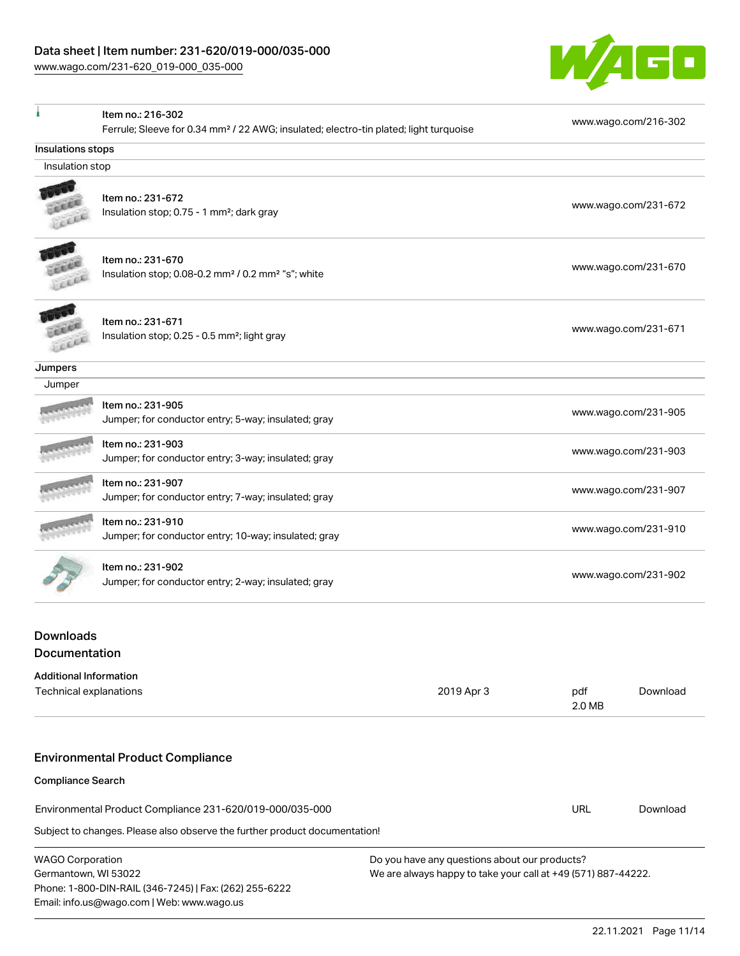Phone: 1-800-DIN-RAIL (346-7245) | Fax: (262) 255-6222

Email: info.us@wago.com | Web: www.wago.us



|                                                                                                   | Item no.: 216-302                                                          |                                                               |                      |                      |
|---------------------------------------------------------------------------------------------------|----------------------------------------------------------------------------|---------------------------------------------------------------|----------------------|----------------------|
| Ferrule; Sleeve for 0.34 mm <sup>2</sup> / 22 AWG; insulated; electro-tin plated; light turquoise |                                                                            |                                                               |                      | www.wago.com/216-302 |
| Insulations stops                                                                                 |                                                                            |                                                               |                      |                      |
| Insulation stop                                                                                   |                                                                            |                                                               |                      |                      |
|                                                                                                   | Item no.: 231-672                                                          |                                                               |                      |                      |
|                                                                                                   | Insulation stop; 0.75 - 1 mm <sup>2</sup> ; dark gray                      |                                                               |                      | www.wago.com/231-672 |
|                                                                                                   |                                                                            |                                                               |                      |                      |
|                                                                                                   | Item no.: 231-670                                                          |                                                               |                      |                      |
|                                                                                                   | Insulation stop; 0.08-0.2 mm <sup>2</sup> / 0.2 mm <sup>2</sup> "s"; white |                                                               | www.wago.com/231-670 |                      |
|                                                                                                   |                                                                            |                                                               |                      |                      |
|                                                                                                   | Item no.: 231-671                                                          |                                                               |                      |                      |
|                                                                                                   | Insulation stop; 0.25 - 0.5 mm <sup>2</sup> ; light gray                   |                                                               |                      | www.wago.com/231-671 |
|                                                                                                   |                                                                            |                                                               |                      |                      |
| Jumpers                                                                                           |                                                                            |                                                               |                      |                      |
| Jumper                                                                                            |                                                                            |                                                               |                      |                      |
|                                                                                                   | Item no.: 231-905                                                          |                                                               |                      |                      |
|                                                                                                   | Jumper; for conductor entry; 5-way; insulated; gray                        |                                                               |                      | www.wago.com/231-905 |
|                                                                                                   | Item no.: 231-903                                                          |                                                               |                      |                      |
|                                                                                                   | Jumper; for conductor entry; 3-way; insulated; gray                        |                                                               |                      | www.wago.com/231-903 |
|                                                                                                   | Item no.: 231-907                                                          |                                                               |                      |                      |
|                                                                                                   | Jumper; for conductor entry; 7-way; insulated; gray                        |                                                               | www.wago.com/231-907 |                      |
|                                                                                                   | Item no.: 231-910                                                          |                                                               | www.wago.com/231-910 |                      |
|                                                                                                   | Jumper; for conductor entry; 10-way; insulated; gray                       |                                                               |                      |                      |
|                                                                                                   | Item no.: 231-902                                                          |                                                               |                      |                      |
|                                                                                                   | Jumper; for conductor entry; 2-way; insulated; gray                        |                                                               |                      | www.wago.com/231-902 |
|                                                                                                   |                                                                            |                                                               |                      |                      |
| Downloads                                                                                         |                                                                            |                                                               |                      |                      |
| Documentation                                                                                     |                                                                            |                                                               |                      |                      |
| <b>Additional Information</b>                                                                     |                                                                            |                                                               |                      |                      |
| Technical explanations                                                                            |                                                                            | 2019 Apr 3                                                    | pdf                  | Download             |
|                                                                                                   |                                                                            |                                                               | 2.0 MB               |                      |
|                                                                                                   |                                                                            |                                                               |                      |                      |
|                                                                                                   | <b>Environmental Product Compliance</b>                                    |                                                               |                      |                      |
| <b>Compliance Search</b>                                                                          |                                                                            |                                                               |                      |                      |
|                                                                                                   | Environmental Product Compliance 231-620/019-000/035-000                   |                                                               | <b>URL</b>           | Download             |
|                                                                                                   | Subject to changes. Please also observe the further product documentation! |                                                               |                      |                      |
| <b>WAGO Corporation</b>                                                                           |                                                                            | Do you have any questions about our products?                 |                      |                      |
| Germantown, WI 53022                                                                              |                                                                            | We are always happy to take your call at +49 (571) 887-44222. |                      |                      |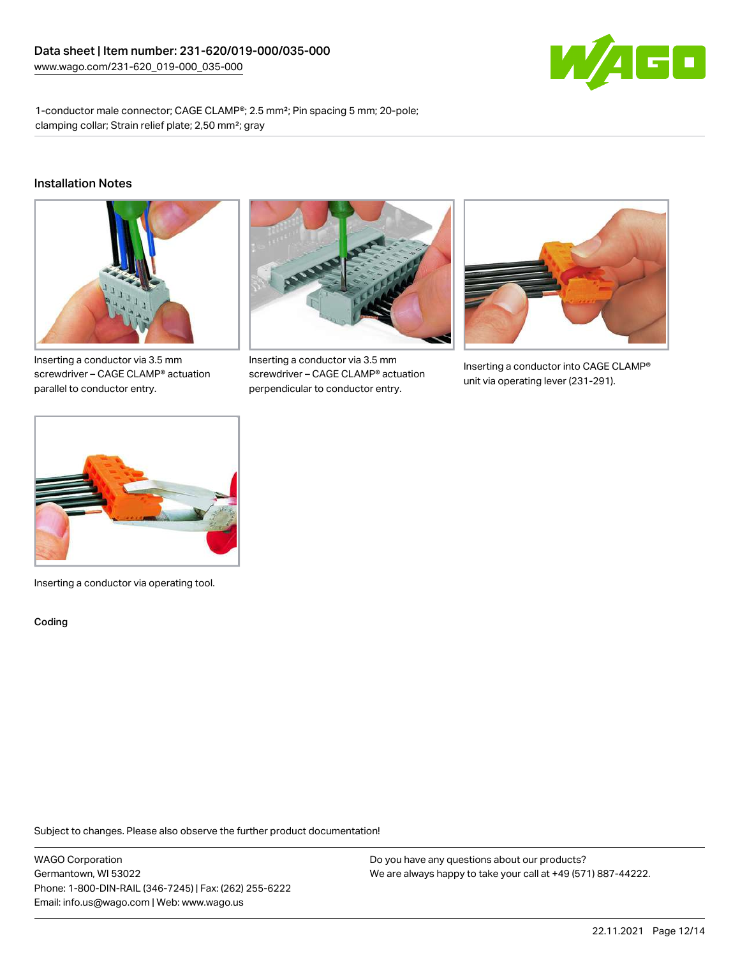

1-conductor male connector; CAGE CLAMP®; 2.5 mm²; Pin spacing 5 mm; 20-pole; clamping collar; Strain relief plate; 2,50 mm²; gray

#### Installation Notes



Inserting a conductor via 3.5 mm screwdriver – CAGE CLAMP® actuation parallel to conductor entry.



Inserting a conductor via 3.5 mm screwdriver – CAGE CLAMP® actuation perpendicular to conductor entry.



Inserting a conductor into CAGE CLAMP® unit via operating lever (231-291).



Inserting a conductor via operating tool.

Coding

Subject to changes. Please also observe the further product documentation!

WAGO Corporation Germantown, WI 53022 Phone: 1-800-DIN-RAIL (346-7245) | Fax: (262) 255-6222 Email: info.us@wago.com | Web: www.wago.us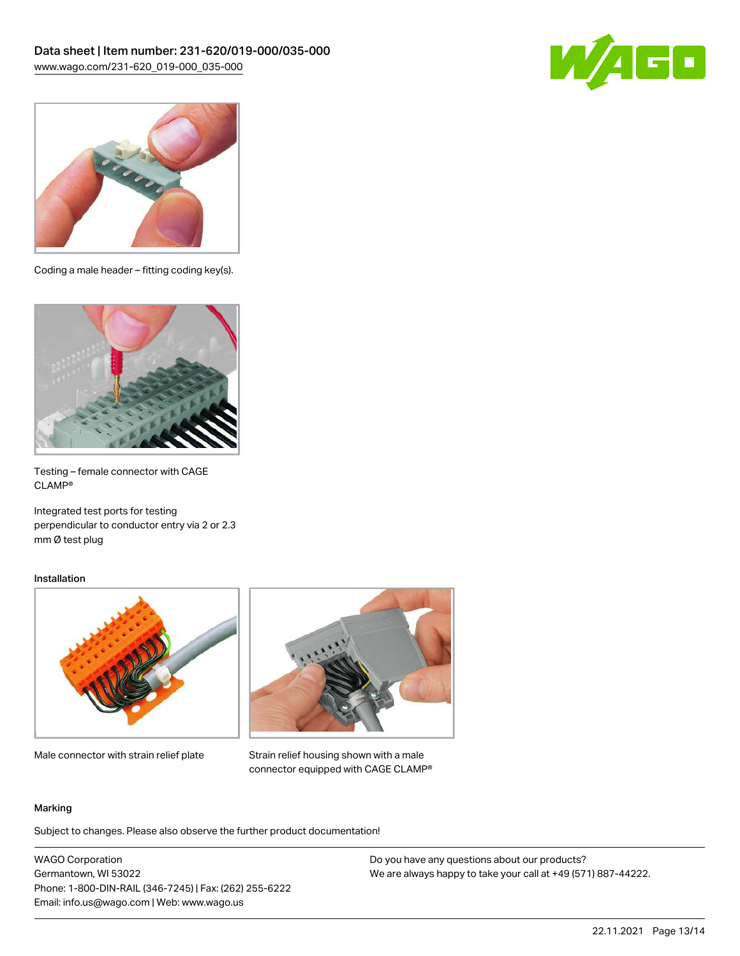



Coding a male header – fitting coding key(s).



Testing – female connector with CAGE CLAMP®

Integrated test ports for testing perpendicular to conductor entry via 2 or 2.3 mm Ø test plug

#### Installation



Male connector with strain relief plate



Strain relief housing shown with a male connector equipped with CAGE CLAMP®

#### Marking

Subject to changes. Please also observe the further product documentation!

WAGO Corporation Germantown, WI 53022 Phone: 1-800-DIN-RAIL (346-7245) | Fax: (262) 255-6222 Email: info.us@wago.com | Web: www.wago.us